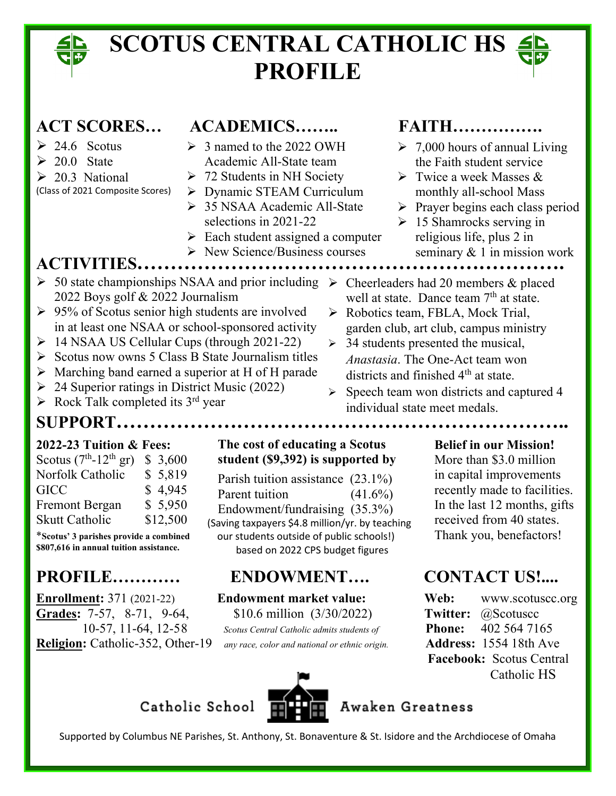## **SCOTUS CENTRAL CATHOLIC HS PROFILE**

- $\geq 24.6$  Scotus
- $\geq 20.0$  State
- $\geq 20.3$  National
- (Class of 2021 Composite Scores)
- **ACT SCORES… ACADEMICS…….. FAITH…………….** 
	- $\geq 3$  named to the 2022 OWH Academic All-State team
	- $\geq 72$  Students in NH Society
	- > Dynamic STEAM Curriculum
	- 35 NSAA Academic All-State selections in 2021-22
	- $\triangleright$  Each student assigned a computer
	- $\triangleright$  New Science/Business courses

- $\geq 7,000$  hours of annual Living the Faith student service
- $\triangleright$  Twice a week Masses & monthly all-school Mass

well at state. Dance team  $7<sup>th</sup>$  at state.

garden club, art club, campus ministry

 $\triangleright$  Speech team won districts and captured 4

▶ Robotics team, FBLA, Mock Trial,

 $\geq$  34 students presented the musical, *Anastasia*. The One-Act team won districts and finished 4<sup>th</sup> at state.

- $\triangleright$  Prayer begins each class period
- $\geq 15$  Shamrocks serving in religious life, plus 2 in seminary & 1 in mission work

## **ACTIVITIES……………………………………………………….**

- $\geq 50$  state championships NSAA and prior including  $\geq$  Cheerleaders had 20 members & placed 2022 Boys golf & 2022 Journalism
- $\geq 95\%$  of Scotus senior high students are involved in at least one NSAA or school-sponsored activity
- $\triangleright$  14 NSAA US Cellular Cups (through 2021-22)
- $\triangleright$  Scotus now owns 5 Class B State Journalism titles
- $\triangleright$  Marching band earned a superior at H of H parade

Catholic School

- $\geq$  24 Superior ratings in District Music (2022)
- $\triangleright$  Rock Talk completed its 3<sup>rd</sup> year
- **SUPPORT…………………………………………………………..**

| Scotus $(7th - 12th$ gr)<br>\$ 3,600 |          |
|--------------------------------------|----------|
| Norfolk Catholic                     | \$5,819  |
| GICC                                 | \$4,945  |
| <b>Fremont Bergan</b>                | \$5,950  |
| <b>Skutt Catholic</b>                | \$12,500 |

**\$807,616 in annual tuition assistance.**

## **PROFILE………… ENDOWMENT…. CONTACT US!....**

**Enrollment:** 371 (2021-22) **Endowment market value:** Web: www.scotuscc.org **Grades:** 7-57, 8-71, 9-64, \$10.6 million (3/30/2022) **Twitter:** @Scotuscc **Religion:** Catholic-352, Other-19 *any race, color and national or ethnic origin.* **Address:** 1554 18th Ave

## **2022-23** Tuition & Fees: The cost of educating a Scotus Belief in our Mission! Scotus  $(7<sup>th</sup> - 12<sup>th</sup>$  gr)  $$3,600$  student (\$9,392) is supported by More than \$3.0 million

Norfolk Catholic  $\begin{array}{r} \text{$} 5,819 \\ \text{9} \end{array}$  Parish tuition assistance  $(23.1\%)$  in capital improvements Fremont Bergan  $\frac{1}{2}$  5,950 Endowment/fundraising (35.3%) In the last 12 months, gifts Skutt Catholic  $$12,500$  (Saving taxpayers \$4.8 million/yr. by teaching received from 40 states. \*Scotus' 3 parishes provide a combined our students outside of public schools!) Thank you, benefactors! Parent tuition based on 2022 CPS budget figures

10-57, 11-64, 12-58 *Scotus Central Catholic admits students of* **Phone:** 402 564 7165



## Awaken Greatness

Supported by Columbus NE Parishes, St. Anthony, St. Bonaventure & St. Isidore and the Archdiocese of Omaha

individual state meet medals.

 $(41.6\%)$  recently made to facilities.

 **Facebook:** Scotus Central Catholic HS